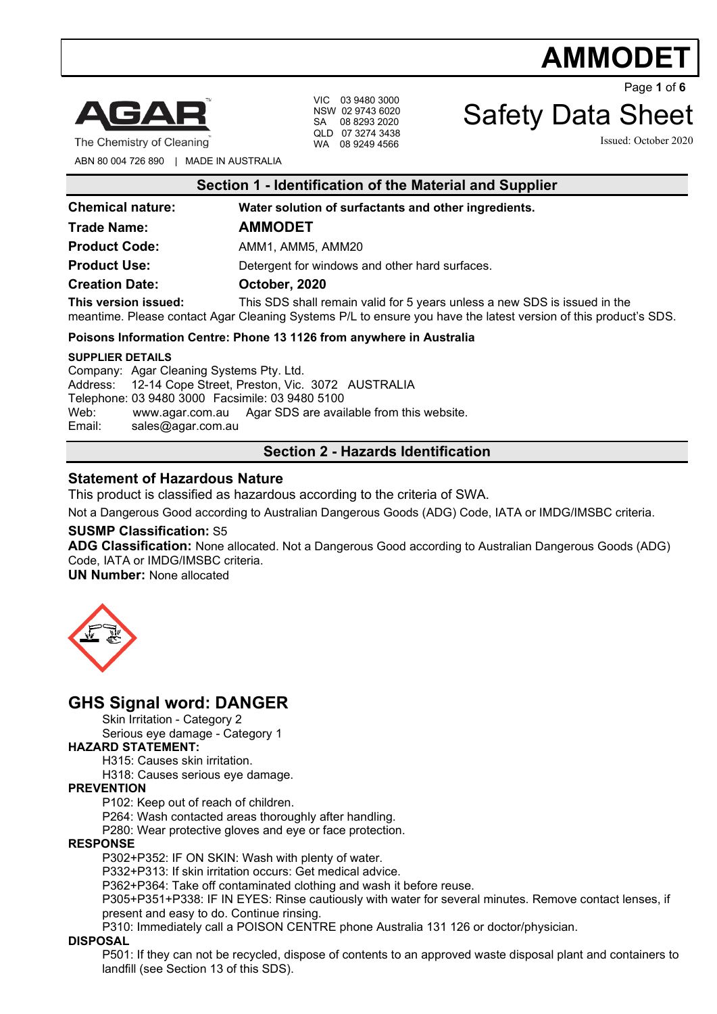# **AMMODET**



The Chemistry of Cleaning

VIC 03 9480 3000 NSW 02 9743 6020 SA 08 8293 2020 QLD 07 3274 3438 WA 08 9249 4566

Page **1** of **6**

## Safety Data Sheet

Issued: October 2020

ABN 80 004 726 890 | MADE IN AUSTRALIA

| Section 1 - Identification of the Material and Supplier              |                                                                                                                                                                                              |
|----------------------------------------------------------------------|----------------------------------------------------------------------------------------------------------------------------------------------------------------------------------------------|
| <b>Chemical nature:</b>                                              | Water solution of surfactants and other ingredients.                                                                                                                                         |
| <b>Trade Name:</b>                                                   | <b>AMMODET</b>                                                                                                                                                                               |
| <b>Product Code:</b>                                                 | AMM1, AMM5, AMM20                                                                                                                                                                            |
| <b>Product Use:</b>                                                  | Detergent for windows and other hard surfaces.                                                                                                                                               |
| <b>Creation Date:</b>                                                | October, 2020                                                                                                                                                                                |
| This version issued:                                                 | This SDS shall remain valid for 5 years unless a new SDS is issued in the<br>meantime. Please contact Agar Cleaning Systems P/L to ensure you have the latest version of this product's SDS. |
| Poisons Information Centre: Phone 13 1126 from anywhere in Australia |                                                                                                                                                                                              |
| <b>SUPPLIER DETAILS</b>                                              |                                                                                                                                                                                              |

Company: Agar Cleaning Systems Pty. Ltd. Address: 12-14 Cope Street, Preston, Vic. 3072 AUSTRALIA Telephone: 03 9480 3000 Facsimile: 03 9480 5100 Web: [www.agar.com.au](http://www.agar.com.au/) Agar SDS are available from this website.<br>Email: sales@agar.com.au [sales@agar.com.au](mailto:sales@agar.com.au)

### **Section 2 - Hazards Identification**

### **Statement of Hazardous Nature**

This product is classified as hazardous according to the criteria of SWA.

Not a Dangerous Good according to Australian Dangerous Goods (ADG) Code, IATA or IMDG/IMSBC criteria.

### **SUSMP Classification:** S5

**ADG Classification:** None allocated. Not a Dangerous Good according to Australian Dangerous Goods (ADG) Code, IATA or IMDG/IMSBC criteria.

**UN Number:** None allocated



### **GHS Signal word: DANGER**

Skin Irritation - Category 2

Serious eye damage - Category 1

### **HAZARD STATEMENT:**

H315: Causes skin irritation.

H318: Causes serious eye damage.

### **PREVENTION**

P102: Keep out of reach of children.

P264: Wash contacted areas thoroughly after handling.

P280: Wear protective gloves and eye or face protection.

#### **RESPONSE**

P302+P352: IF ON SKIN: Wash with plenty of water.

P332+P313: If skin irritation occurs: Get medical advice.

P362+P364: Take off contaminated clothing and wash it before reuse.

P305+P351+P338: IF IN EYES: Rinse cautiously with water for several minutes. Remove contact lenses, if present and easy to do. Continue rinsing.

P310: Immediately call a POISON CENTRE phone Australia 131 126 or doctor/physician.

#### **DISPOSAL**

P501: If they can not be recycled, dispose of contents to an approved waste disposal plant and containers to landfill (see Section 13 of this SDS).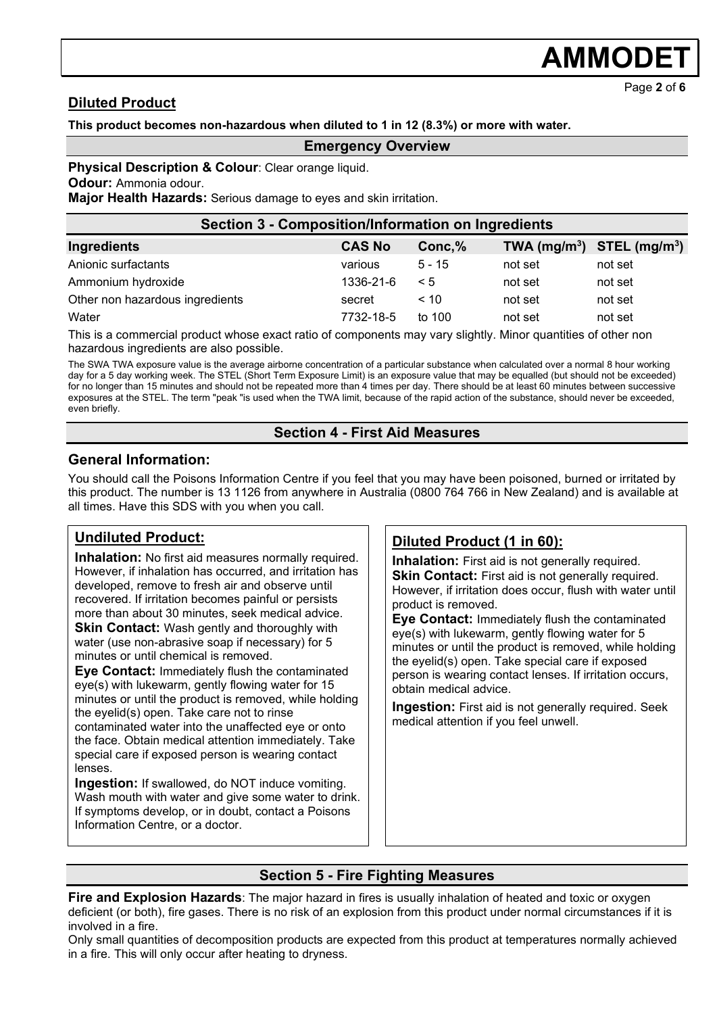# **AMMODE**

Page **2** of **6**

### **Diluted Product**

### **This product becomes non-hazardous when diluted to 1 in 12 (8.3%) or more with water.**

### **Emergency Overview**

**Physical Description & Colour: Clear orange liquid.** 

**Odour:** Ammonia odour.

**Major Health Hazards:** Serious damage to eyes and skin irritation.

| Section 3 - Composition/Information on Ingredients                                                                      |               |          |         |                                |  |  |
|-------------------------------------------------------------------------------------------------------------------------|---------------|----------|---------|--------------------------------|--|--|
| Ingredients                                                                                                             | <b>CAS No</b> | Conc, %  |         | TWA $(mg/m^3)$ STEL $(mg/m^3)$ |  |  |
| Anionic surfactants                                                                                                     | various       | $5 - 15$ | not set | not set                        |  |  |
| Ammonium hydroxide                                                                                                      | 1336-21-6     | $\leq 5$ | not set | not set                        |  |  |
| Other non hazardous ingredients                                                                                         | secret        | < 10     | not set | not set                        |  |  |
| Water                                                                                                                   | 7732-18-5     | to $100$ | not set | not set                        |  |  |
| This is a common information of the common state of a common state of the common Bolight Alban and a glue of the common |               |          |         |                                |  |  |

This is a commercial product whose exact ratio of components may vary slightly. Minor quantities of other non hazardous ingredients are also possible.

The SWA TWA exposure value is the average airborne concentration of a particular substance when calculated over a normal 8 hour working day for a 5 day working week. The STEL (Short Term Exposure Limit) is an exposure value that may be equalled (but should not be exceeded) for no longer than 15 minutes and should not be repeated more than 4 times per day. There should be at least 60 minutes between successive exposures at the STEL. The term "peak "is used when the TWA limit, because of the rapid action of the substance, should never be exceeded, even briefly.

### **Section 4 - First Aid Measures**

### **General Information:**

You should call the Poisons Information Centre if you feel that you may have been poisoned, burned or irritated by this product. The number is 13 1126 from anywhere in Australia (0800 764 766 in New Zealand) and is available at all times. Have this SDS with you when you call.

### **Undiluted Product:**

**Inhalation:** No first aid measures normally required. However, if inhalation has occurred, and irritation has developed, remove to fresh air and observe until recovered. If irritation becomes painful or persists more than about 30 minutes, seek medical advice. **Skin Contact:** Wash gently and thoroughly with water (use non-abrasive soap if necessary) for 5 minutes or until chemical is removed.

**Eye Contact:** Immediately flush the contaminated eye(s) with lukewarm, gently flowing water for 15 minutes or until the product is removed, while holding the eyelid(s) open. Take care not to rinse contaminated water into the unaffected eye or onto the face. Obtain medical attention immediately. Take special care if exposed person is wearing contact lenses.

**Ingestion:** If swallowed, do NOT induce vomiting. Wash mouth with water and give some water to drink. If symptoms develop, or in doubt, contact a Poisons Information Centre, or a doctor.

### **Diluted Product (1 in 60):**

**Inhalation:** First aid is not generally required. **Skin Contact:** First aid is not generally required. However, if irritation does occur, flush with water until product is removed.

**Eye Contact:** Immediately flush the contaminated eye(s) with lukewarm, gently flowing water for 5 minutes or until the product is removed, while holding the eyelid(s) open. Take special care if exposed person is wearing contact lenses. If irritation occurs, obtain medical advice.

**Ingestion:** First aid is not generally required. Seek medical attention if you feel unwell.

### **Section 5 - Fire Fighting Measures**

**Fire and Explosion Hazards**: The major hazard in fires is usually inhalation of heated and toxic or oxygen deficient (or both), fire gases. There is no risk of an explosion from this product under normal circumstances if it is involved in a fire.

Only small quantities of decomposition products are expected from this product at temperatures normally achieved in a fire. This will only occur after heating to dryness.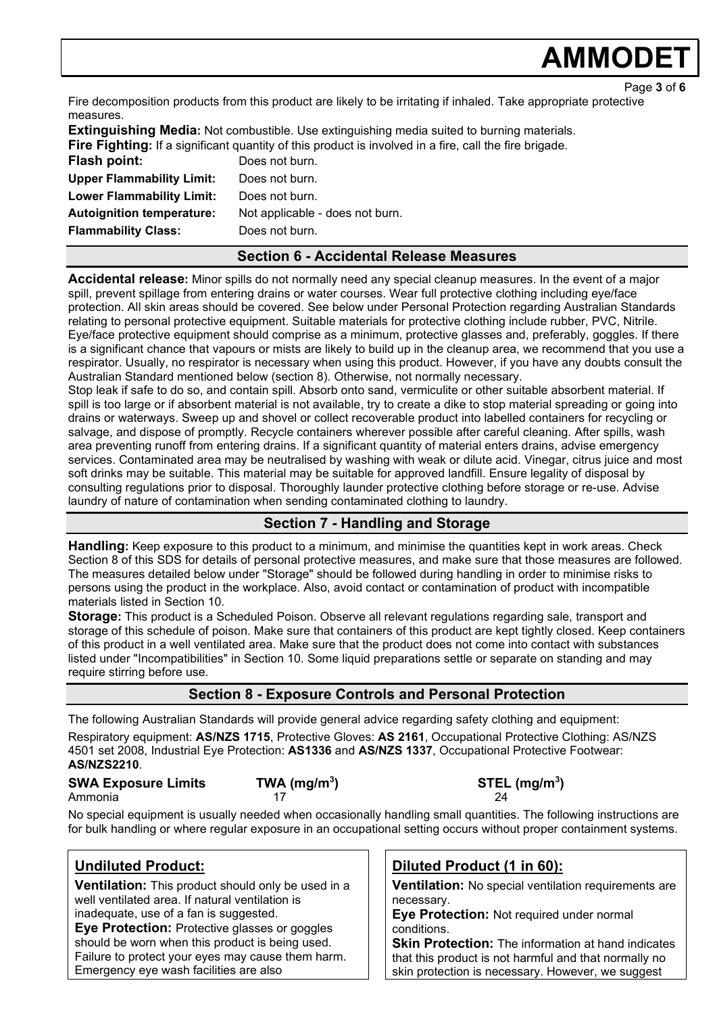# **AMMODE**

Fire decomposition products from this product are likely to be irritating if inhaled. Take appropriate protective measures.

**Extinguishing Media:** Not combustible. Use extinguishing media suited to burning materials. **Fire Fighting:** If a significant quantity of this product is involved in a fire, call the fire brigade. **Flash point:** Does not burn. **Upper Flammability Limit:** Does not burn. **Lower Flammability Limit:** Does not burn. **Autoignition temperature:** Not applicable - does not burn. **Flammability Class:** Does not burn.

### **Section 6 - Accidental Release Measures**

**Accidental release:** Minor spills do not normally need any special cleanup measures. In the event of a major spill, prevent spillage from entering drains or water courses. Wear full protective clothing including eye/face protection. All skin areas should be covered. See below under Personal Protection regarding Australian Standards relating to personal protective equipment. Suitable materials for protective clothing include rubber, PVC, Nitrile. Eye/face protective equipment should comprise as a minimum, protective glasses and, preferably, goggles. If there is a significant chance that vapours or mists are likely to build up in the cleanup area, we recommend that you use a respirator. Usually, no respirator is necessary when using this product. However, if you have any doubts consult the Australian Standard mentioned below (section 8). Otherwise, not normally necessary.

Stop leak if safe to do so, and contain spill. Absorb onto sand, vermiculite or other suitable absorbent material. If spill is too large or if absorbent material is not available, try to create a dike to stop material spreading or going into drains or waterways. Sweep up and shovel or collect recoverable product into labelled containers for recycling or salvage, and dispose of promptly. Recycle containers wherever possible after careful cleaning. After spills, wash area preventing runoff from entering drains. If a significant quantity of material enters drains, advise emergency services. Contaminated area may be neutralised by washing with weak or dilute acid. Vinegar, citrus juice and most soft drinks may be suitable. This material may be suitable for approved landfill. Ensure legality of disposal by consulting regulations prior to disposal. Thoroughly launder protective clothing before storage or re-use. Advise laundry of nature of contamination when sending contaminated clothing to laundry.

### **Section 7 - Handling and Storage**

**Handling:** Keep exposure to this product to a minimum, and minimise the quantities kept in work areas. Check Section 8 of this SDS for details of personal protective measures, and make sure that those measures are followed. The measures detailed below under "Storage" should be followed during handling in order to minimise risks to persons using the product in the workplace. Also, avoid contact or contamination of product with incompatible materials listed in Section 10.

**Storage:** This product is a Scheduled Poison. Observe all relevant regulations regarding sale, transport and storage of this schedule of poison. Make sure that containers of this product are kept tightly closed. Keep containers of this product in a well ventilated area. Make sure that the product does not come into contact with substances listed under "Incompatibilities" in Section 10. Some liquid preparations settle or separate on standing and may require stirring before use.

### **Section 8 - Exposure Controls and Personal Protection**

The following Australian Standards will provide general advice regarding safety clothing and equipment: Respiratory equipment: **AS/NZS 1715**, Protective Gloves: **AS 2161**, Occupational Protective Clothing: AS/NZS 4501 set 2008, Industrial Eye Protection: **AS1336** and **AS/NZS 1337**, Occupational Protective Footwear: **AS/NZS2210**.

**SWA Exposure Limits TWA (mg/m3** Ammonia 17 24

**) STEL (mg/m3 )**

No special equipment is usually needed when occasionally handling small quantities. The following instructions are for bulk handling or where regular exposure in an occupational setting occurs without proper containment systems.

### **Undiluted Product:**

**Ventilation:** This product should only be used in a well ventilated area. If natural ventilation is inadequate, use of a fan is suggested.

**Eye Protection:** Protective glasses or goggles should be worn when this product is being used. Failure to protect your eyes may cause them harm. Emergency eye wash facilities are also

### **Diluted Product (1 in 60):**

**Ventilation:** No special ventilation requirements are necessary.

**Eye Protection:** Not required under normal conditions.

**Skin Protection:** The information at hand indicates that this product is not harmful and that normally no skin protection is necessary. However, we suggest

Page **3** of **6**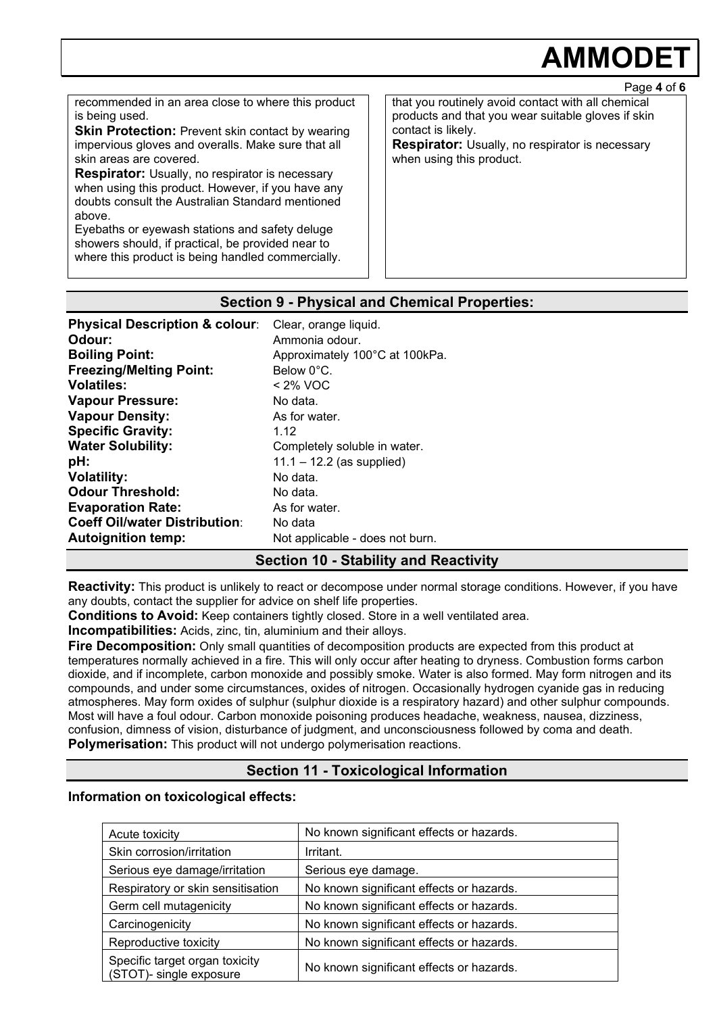# **AMMODET**

recommended in an area close to where this product is being used.

**Skin Protection: Prevent skin contact by wearing** impervious gloves and overalls. Make sure that all skin areas are covered.

**Respirator:** Usually, no respirator is necessary when using this product. However, if you have any doubts consult the Australian Standard mentioned above.

Eyebaths or eyewash stations and safety deluge showers should, if practical, be provided near to where this product is being handled commercially. that you routinely avoid contact with all chemical products and that you wear suitable gloves if skin contact is likely.

**Respirator:** Usually, no respirator is necessary when using this product.

### **Section 9 - Physical and Chemical Properties:**

| <b>Physical Description &amp; colour:</b> | Clear, orange liquid.           |
|-------------------------------------------|---------------------------------|
| Odour:                                    | Ammonia odour.                  |
| <b>Boiling Point:</b>                     | Approximately 100°C at 100kPa.  |
| <b>Freezing/Melting Point:</b>            | Below 0°C.                      |
| <b>Volatiles:</b>                         | $<$ 2% VOC                      |
| <b>Vapour Pressure:</b>                   | No data.                        |
| <b>Vapour Density:</b>                    | As for water.                   |
| <b>Specific Gravity:</b>                  | 1.12                            |
| <b>Water Solubility:</b>                  | Completely soluble in water.    |
| pH:                                       | $11.1 - 12.2$ (as supplied)     |
| <b>Volatility:</b>                        | No data.                        |
| <b>Odour Threshold:</b>                   | No data.                        |
| <b>Evaporation Rate:</b>                  | As for water.                   |
| <b>Coeff Oil/water Distribution:</b>      | No data                         |
| <b>Autoignition temp:</b>                 | Not applicable - does not burn. |

### **Section 10 - Stability and Reactivity**

**Reactivity:** This product is unlikely to react or decompose under normal storage conditions. However, if you have any doubts, contact the supplier for advice on shelf life properties.

**Conditions to Avoid:** Keep containers tightly closed. Store in a well ventilated area.

**Incompatibilities:** Acids, zinc, tin, aluminium and their alloys.

**Fire Decomposition:** Only small quantities of decomposition products are expected from this product at temperatures normally achieved in a fire. This will only occur after heating to dryness. Combustion forms carbon dioxide, and if incomplete, carbon monoxide and possibly smoke. Water is also formed. May form nitrogen and its compounds, and under some circumstances, oxides of nitrogen. Occasionally hydrogen cyanide gas in reducing atmospheres. May form oxides of sulphur (sulphur dioxide is a respiratory hazard) and other sulphur compounds. Most will have a foul odour. Carbon monoxide poisoning produces headache, weakness, nausea, dizziness, confusion, dimness of vision, disturbance of judgment, and unconsciousness followed by coma and death. **Polymerisation:** This product will not undergo polymerisation reactions.

### **Section 11 - Toxicological Information**

### **Information on toxicological effects:**

| Acute toxicity                                            | No known significant effects or hazards. |
|-----------------------------------------------------------|------------------------------------------|
| Skin corrosion/irritation                                 | Irritant.                                |
| Serious eye damage/irritation                             | Serious eye damage.                      |
| Respiratory or skin sensitisation                         | No known significant effects or hazards. |
| Germ cell mutagenicity                                    | No known significant effects or hazards. |
| Carcinogenicity                                           | No known significant effects or hazards. |
| Reproductive toxicity                                     | No known significant effects or hazards. |
| Specific target organ toxicity<br>(STOT)- single exposure | No known significant effects or hazards. |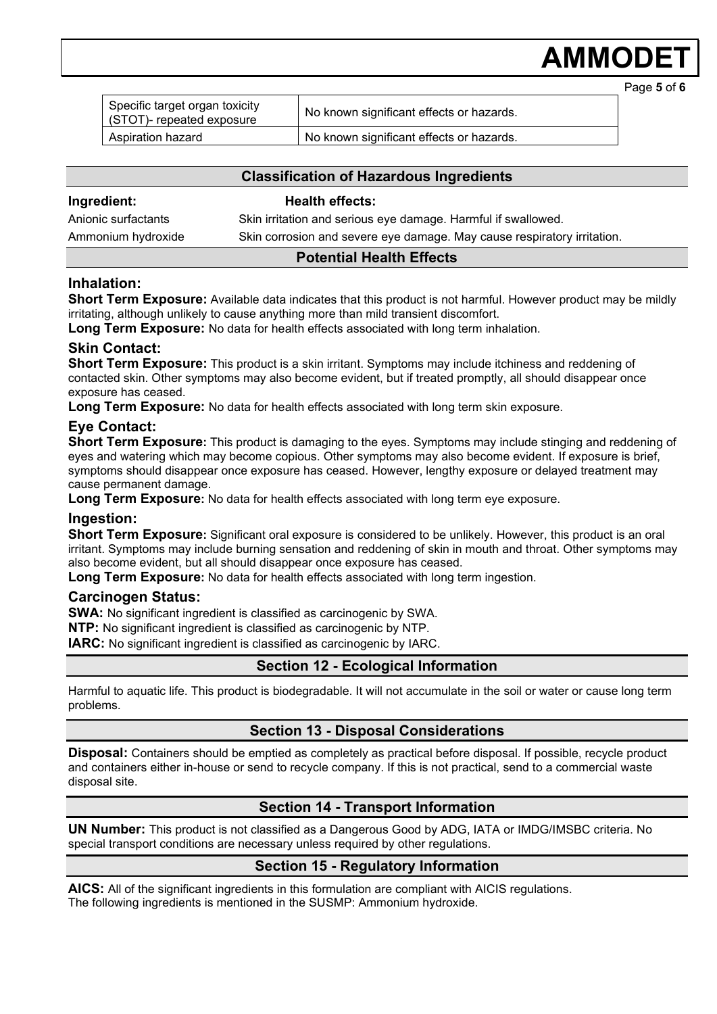# **AMMODE**

| Specific target organ toxicity<br>(STOT)- repeated exposure | No known significant effects or hazards. |  |
|-------------------------------------------------------------|------------------------------------------|--|
| Aspiration hazard                                           | No known significant effects or hazards. |  |

### **Classification of Hazardous Ingredients**

#### **Ingredient: Health effects:**

Anionic surfactants Skin irritation and serious eye damage. Harmful if swallowed. Ammonium hydroxide Skin corrosion and severe eye damage. May cause respiratory irritation.

### **Potential Health Effects**

### **Inhalation:**

**Short Term Exposure:** Available data indicates that this product is not harmful. However product may be mildly irritating, although unlikely to cause anything more than mild transient discomfort.

**Long Term Exposure:** No data for health effects associated with long term inhalation.

### **Skin Contact:**

**Short Term Exposure:** This product is a skin irritant. Symptoms may include itchiness and reddening of contacted skin. Other symptoms may also become evident, but if treated promptly, all should disappear once exposure has ceased.

**Long Term Exposure:** No data for health effects associated with long term skin exposure.

### **Eye Contact:**

**Short Term Exposure:** This product is damaging to the eyes. Symptoms may include stinging and reddening of eyes and watering which may become copious. Other symptoms may also become evident. If exposure is brief, symptoms should disappear once exposure has ceased. However, lengthy exposure or delayed treatment may cause permanent damage.

**Long Term Exposure:** No data for health effects associated with long term eye exposure.

### **Ingestion:**

**Short Term Exposure:** Significant oral exposure is considered to be unlikely. However, this product is an oral irritant. Symptoms may include burning sensation and reddening of skin in mouth and throat. Other symptoms may also become evident, but all should disappear once exposure has ceased.

**Long Term Exposure:** No data for health effects associated with long term ingestion.

### **Carcinogen Status:**

**SWA:** No significant ingredient is classified as carcinogenic by SWA.

**NTP:** No significant ingredient is classified as carcinogenic by NTP.

**IARC:** No significant ingredient is classified as carcinogenic by IARC.

### **Section 12 - Ecological Information**

Harmful to aquatic life. This product is biodegradable. It will not accumulate in the soil or water or cause long term problems.

### **Section 13 - Disposal Considerations**

**Disposal:** Containers should be emptied as completely as practical before disposal. If possible, recycle product and containers either in-house or send to recycle company. If this is not practical, send to a commercial waste disposal site.

### **Section 14 - Transport Information**

**UN Number:** This product is not classified as a Dangerous Good by ADG, IATA or IMDG/IMSBC criteria. No special transport conditions are necessary unless required by other regulations.

### **Section 15 - Regulatory Information**

**AICS:** All of the significant ingredients in this formulation are compliant with AICIS regulations. The following ingredients is mentioned in the SUSMP: Ammonium hydroxide.

Page **5** of **6**